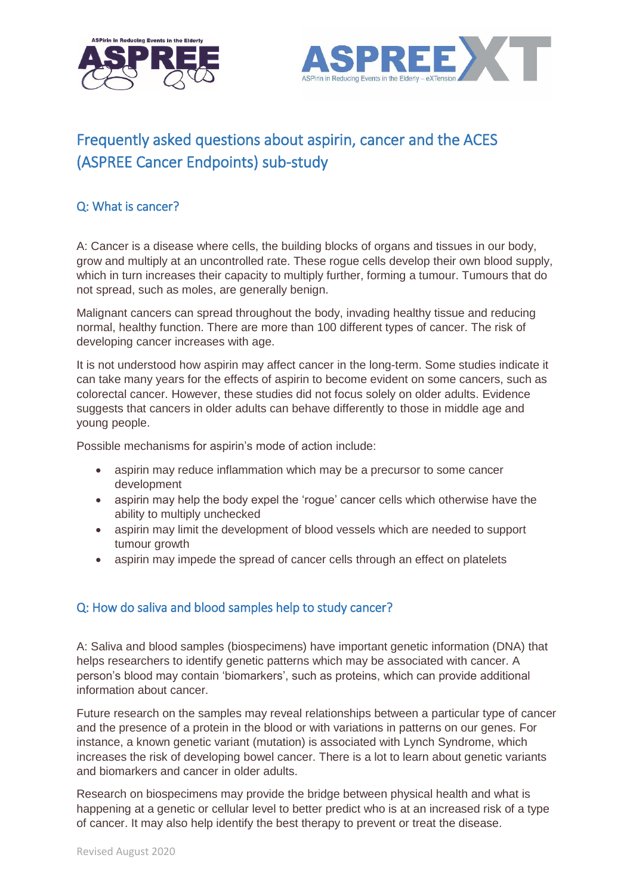



# Frequently asked questions about aspirin, cancer and the ACES (ASPREE Cancer Endpoints) sub-study

## Q: What is cancer?

A: Cancer is a disease where cells, the building blocks of organs and tissues in our body, grow and multiply at an uncontrolled rate. These rogue cells develop their own blood supply, which in turn increases their capacity to multiply further, forming a tumour. Tumours that do not spread, such as moles, are generally benign.

Malignant cancers can spread throughout the body, invading healthy tissue and reducing normal, healthy function. There are more than 100 different types of cancer. The risk of developing cancer increases with age.

It is not understood how aspirin may affect cancer in the long-term. Some studies indicate it can take many years for the effects of aspirin to become evident on some cancers, such as colorectal cancer. However, these studies did not focus solely on older adults. Evidence suggests that cancers in older adults can behave differently to those in middle age and young people.

Possible mechanisms for aspirin's mode of action include:

- aspirin may reduce inflammation which may be a precursor to some cancer development
- aspirin may help the body expel the 'rogue' cancer cells which otherwise have the ability to multiply unchecked
- aspirin may limit the development of blood vessels which are needed to support tumour growth
- aspirin may impede the spread of cancer cells through an effect on platelets

## Q: How do saliva and blood samples help to study cancer?

A: Saliva and blood samples (biospecimens) have important genetic information (DNA) that helps researchers to identify genetic patterns which may be associated with cancer. A person's blood may contain 'biomarkers', such as proteins, which can provide additional information about cancer.

Future research on the samples may reveal relationships between a particular type of cancer and the presence of a protein in the blood or with variations in patterns on our genes. For instance, a known genetic variant (mutation) is associated with Lynch Syndrome, which increases the risk of developing bowel cancer. There is a lot to learn about genetic variants and biomarkers and cancer in older adults.

Research on biospecimens may provide the bridge between physical health and what is happening at a genetic or cellular level to better predict who is at an increased risk of a type of cancer. It may also help identify the best therapy to prevent or treat the disease.